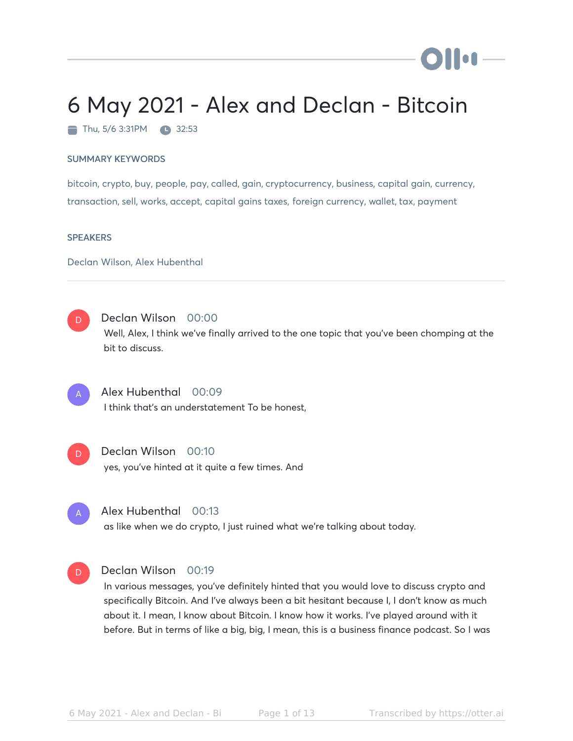# 6 May 2021 - Alex and Declan - Bitcoin

Thu, 5/6 3:31PM 32:53

#### SUMMARY KEYWORDS

bitcoin, crypto, buy, people, pay, called, gain, cryptocurrency, business, capital gain, currency, transaction, sell, works, accept, capital gains taxes, foreign currency, wallet, tax, payment

#### **SPEAKERS**

Declan Wilson, Alex Hubenthal

D

#### Declan Wilson 00:00

Well, Alex, I think we've finally arrived to the one topic that you've been chomping at the bit to discuss.

A

## Alex Hubenthal 00:09

I think that's an understatement To be honest,



# Declan Wilson 00:10

yes, you've hinted at it quite a few times. And



#### Alex Hubenthal 00:13

as like when we do crypto, I just ruined what we're talking about today.



#### Declan Wilson 00:19

In various messages, you've definitely hinted that you would love to discuss crypto and specifically Bitcoin. And I've always been a bit hesitant because I, I don't know as much about it. I mean, I know about Bitcoin. I know how it works. I've played around with it before. But in terms of like a big, big, I mean, this is a business finance podcast. So I was

) II on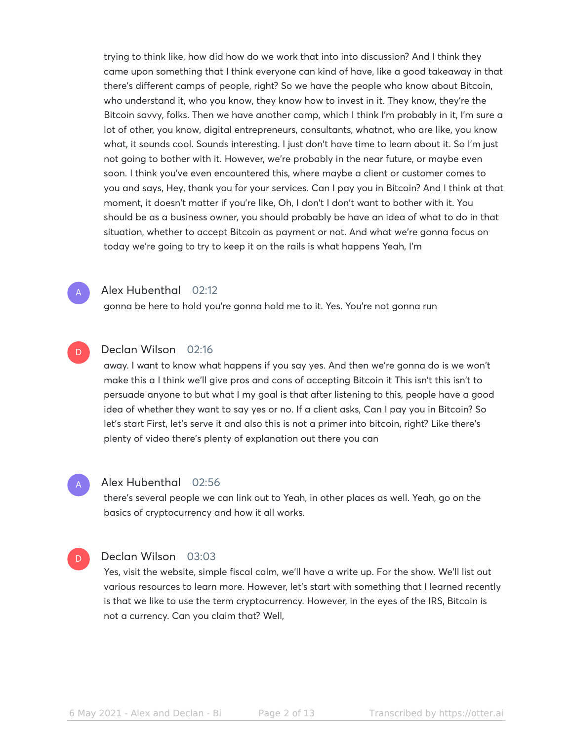trying to think like, how did how do we work that into into discussion? And I think they came upon something that I think everyone can kind of have, like a good takeaway in that there's different camps of people, right? So we have the people who know about Bitcoin, who understand it, who you know, they know how to invest in it. They know, they're the Bitcoin savvy, folks. Then we have another camp, which I think I'm probably in it, I'm sure a lot of other, you know, digital entrepreneurs, consultants, whatnot, who are like, you know what, it sounds cool. Sounds interesting. I just don't have time to learn about it. So I'm just not going to bother with it. However, we're probably in the near future, or maybe even soon. I think you've even encountered this, where maybe a client or customer comes to you and says, Hey, thank you for your services. Can I pay you in Bitcoin? And I think at that moment, it doesn't matter if you're like, Oh, I don't I don't want to bother with it. You should be as a business owner, you should probably be have an idea of what to do in that situation, whether to accept Bitcoin as payment or not. And what we're gonna focus on today we're going to try to keep it on the rails is what happens Yeah, I'm



#### Alex Hubenthal 02:12

gonna be here to hold you're gonna hold me to it. Yes. You're not gonna run

#### Declan Wilson 02:16 D

away. I want to know what happens if you say yes. And then we're gonna do is we won't make this a I think we'll give pros and cons of accepting Bitcoin it This isn't this isn't to persuade anyone to but what I my goal is that after listening to this, people have a good idea of whether they want to say yes or no. If a client asks, Can I pay you in Bitcoin? So let's start First, let's serve it and also this is not a primer into bitcoin, right? Like there's plenty of video there's plenty of explanation out there you can

# A

#### Alex Hubenthal 02:56

there's several people we can link out to Yeah, in other places as well. Yeah, go on the basics of cryptocurrency and how it all works.

#### Declan Wilson 03:03 D.

Yes, visit the website, simple fiscal calm, we'll have a write up. For the show. We'll list out various resources to learn more. However, let's start with something that I learned recently is that we like to use the term cryptocurrency. However, in the eyes of the IRS, Bitcoin is not a currency. Can you claim that? Well,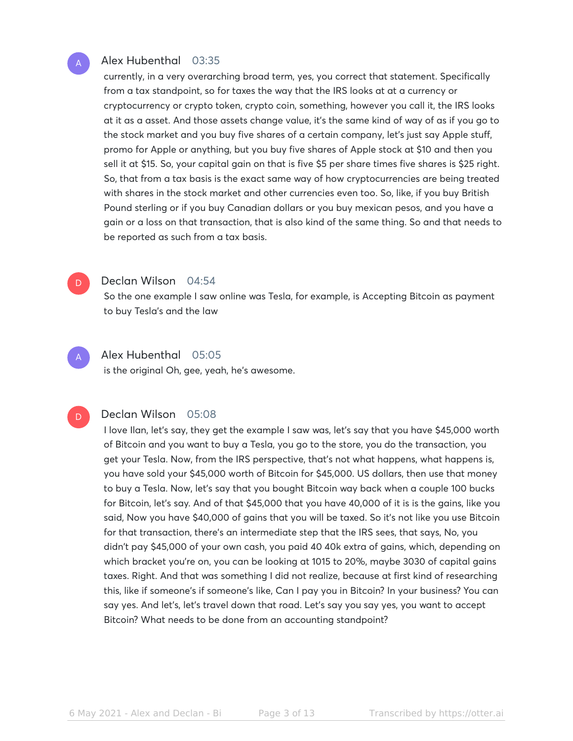## Alex Hubenthal 03:35

currently, in a very overarching broad term, yes, you correct that statement. Specifically from a tax standpoint, so for taxes the way that the IRS looks at at a currency or cryptocurrency or crypto token, crypto coin, something, however you call it, the IRS looks at it as a asset. And those assets change value, it's the same kind of way of as if you go to the stock market and you buy five shares of a certain company, let's just say Apple stuff, promo for Apple or anything, but you buy five shares of Apple stock at \$10 and then you sell it at \$15. So, your capital gain on that is five \$5 per share times five shares is \$25 right. So, that from a tax basis is the exact same way of how cryptocurrencies are being treated with shares in the stock market and other currencies even too. So, like, if you buy British Pound sterling or if you buy Canadian dollars or you buy mexican pesos, and you have a gain or a loss on that transaction, that is also kind of the same thing. So and that needs to be reported as such from a tax basis.

# D

A

D

A

#### Declan Wilson 04:54

So the one example I saw online was Tesla, for example, is Accepting Bitcoin as payment to buy Tesla's and the law

## Alex Hubenthal 05:05

is the original Oh, gee, yeah, he's awesome.

## Declan Wilson 05:08

I love Ilan, let's say, they get the example I saw was, let's say that you have \$45,000 worth of Bitcoin and you want to buy a Tesla, you go to the store, you do the transaction, you get your Tesla. Now, from the IRS perspective, that's not what happens, what happens is, you have sold your \$45,000 worth of Bitcoin for \$45,000. US dollars, then use that money to buy a Tesla. Now, let's say that you bought Bitcoin way back when a couple 100 bucks for Bitcoin, let's say. And of that \$45,000 that you have 40,000 of it is is the gains, like you said, Now you have \$40,000 of gains that you will be taxed. So it's not like you use Bitcoin for that transaction, there's an intermediate step that the IRS sees, that says, No, you didn't pay \$45,000 of your own cash, you paid 40 40k extra of gains, which, depending on which bracket you're on, you can be looking at 1015 to 20%, maybe 3030 of capital gains taxes. Right. And that was something I did not realize, because at first kind of researching this, like if someone's if someone's like, Can I pay you in Bitcoin? In your business? You can say yes. And let's, let's travel down that road. Let's say you say yes, you want to accept Bitcoin? What needs to be done from an accounting standpoint?

6 May 2021 - Alex and Declan - Biangle 3 of 13 Transcribed by https://otter.ai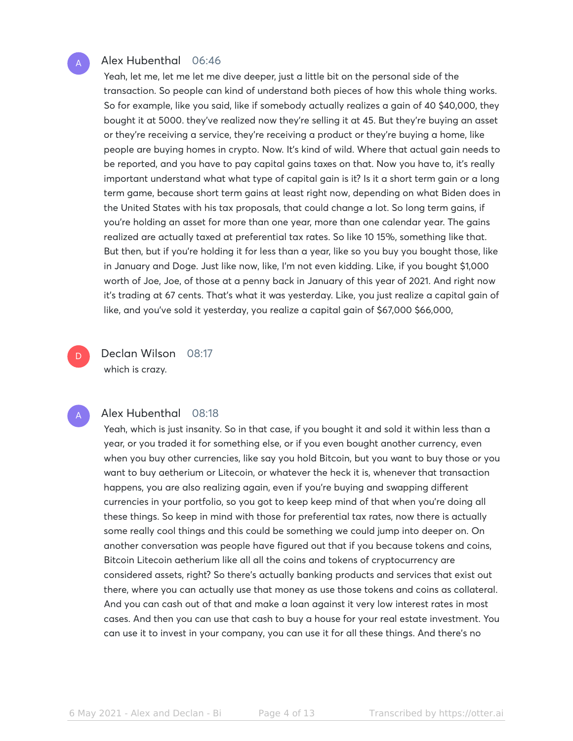#### Alex Hubenthal 06:46

Yeah, let me, let me let me dive deeper, just a little bit on the personal side of the transaction. So people can kind of understand both pieces of how this whole thing works. So for example, like you said, like if somebody actually realizes a gain of 40 \$40,000, they bought it at 5000. they've realized now they're selling it at 45. But they're buying an asset or they're receiving a service, they're receiving a product or they're buying a home, like people are buying homes in crypto. Now. It's kind of wild. Where that actual gain needs to be reported, and you have to pay capital gains taxes on that. Now you have to, it's really important understand what what type of capital gain is it? Is it a short term gain or a long term game, because short term gains at least right now, depending on what Biden does in the United States with his tax proposals, that could change a lot. So long term gains, if you're holding an asset for more than one year, more than one calendar year. The gains realized are actually taxed at preferential tax rates. So like 10 15%, something like that. But then, but if you're holding it for less than a year, like so you buy you bought those, like in January and Doge. Just like now, like, I'm not even kidding. Like, if you bought \$1,000 worth of Joe, Joe, of those at a penny back in January of this year of 2021. And right now it's trading at 67 cents. That's what it was yesterday. Like, you just realize a capital gain of like, and you've sold it yesterday, you realize a capital gain of \$67,000 \$66,000,

Declan Wilson 08:17 which is crazy.

#### Alex Hubenthal 08:18

Yeah, which is just insanity. So in that case, if you bought it and sold it within less than a year, or you traded it for something else, or if you even bought another currency, even when you buy other currencies, like say you hold Bitcoin, but you want to buy those or you want to buy aetherium or Litecoin, or whatever the heck it is, whenever that transaction happens, you are also realizing again, even if you're buying and swapping different currencies in your portfolio, so you got to keep keep mind of that when you're doing all these things. So keep in mind with those for preferential tax rates, now there is actually some really cool things and this could be something we could jump into deeper on. On another conversation was people have figured out that if you because tokens and coins, Bitcoin Litecoin aetherium like all all the coins and tokens of cryptocurrency are considered assets, right? So there's actually banking products and services that exist out there, where you can actually use that money as use those tokens and coins as collateral. And you can cash out of that and make a loan against it very low interest rates in most cases. And then you can use that cash to buy a house for your real estate investment. You can use it to invest in your company, you can use it for all these things. And there's no

A

D

A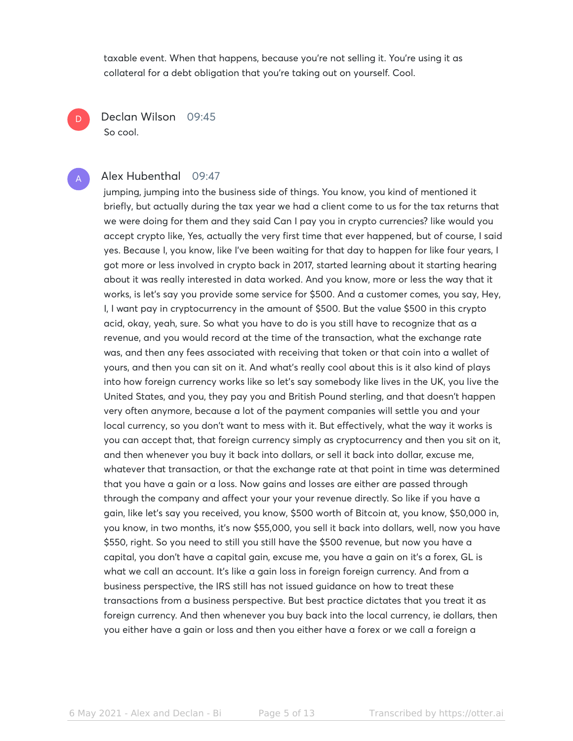taxable event. When that happens, because you're not selling it. You're using it as collateral for a debt obligation that you're taking out on yourself. Cool.

Declan Wilson 09:45 So cool.

D

#### Alex Hubenthal 09:47 A

jumping, jumping into the business side of things. You know, you kind of mentioned it briefly, but actually during the tax year we had a client come to us for the tax returns that we were doing for them and they said Can I pay you in crypto currencies? like would you accept crypto like, Yes, actually the very first time that ever happened, but of course, I said yes. Because I, you know, like I've been waiting for that day to happen for like four years, I got more or less involved in crypto back in 2017, started learning about it starting hearing about it was really interested in data worked. And you know, more or less the way that it works, is let's say you provide some service for \$500. And a customer comes, you say, Hey, I, I want pay in cryptocurrency in the amount of \$500. But the value \$500 in this crypto acid, okay, yeah, sure. So what you have to do is you still have to recognize that as a revenue, and you would record at the time of the transaction, what the exchange rate was, and then any fees associated with receiving that token or that coin into a wallet of yours, and then you can sit on it. And what's really cool about this is it also kind of plays into how foreign currency works like so let's say somebody like lives in the UK, you live the United States, and you, they pay you and British Pound sterling, and that doesn't happen very often anymore, because a lot of the payment companies will settle you and your local currency, so you don't want to mess with it. But effectively, what the way it works is you can accept that, that foreign currency simply as cryptocurrency and then you sit on it, and then whenever you buy it back into dollars, or sell it back into dollar, excuse me, whatever that transaction, or that the exchange rate at that point in time was determined that you have a gain or a loss. Now gains and losses are either are passed through through the company and affect your your your revenue directly. So like if you have a gain, like let's say you received, you know, \$500 worth of Bitcoin at, you know, \$50,000 in, you know, in two months, it's now \$55,000, you sell it back into dollars, well, now you have \$550, right. So you need to still you still have the \$500 revenue, but now you have a capital, you don't have a capital gain, excuse me, you have a gain on it's a forex, GL is what we call an account. It's like a gain loss in foreign foreign currency. And from a business perspective, the IRS still has not issued guidance on how to treat these transactions from a business perspective. But best practice dictates that you treat it as foreign currency. And then whenever you buy back into the local currency, ie dollars, then you either have a gain or loss and then you either have a forex or we call a foreign a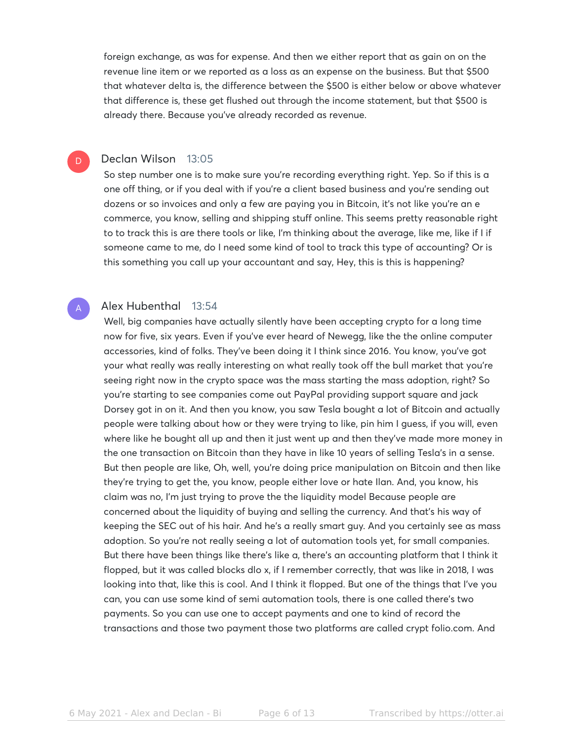foreign exchange, as was for expense. And then we either report that as gain on on the revenue line item or we reported as a loss as an expense on the business. But that \$500 that whatever delta is, the difference between the \$500 is either below or above whatever that difference is, these get flushed out through the income statement, but that \$500 is already there. Because you've already recorded as revenue.

#### Declan Wilson 13:05

D

A

So step number one is to make sure you're recording everything right. Yep. So if this is a one off thing, or if you deal with if you're a client based business and you're sending out dozens or so invoices and only a few are paying you in Bitcoin, it's not like you're an e commerce, you know, selling and shipping stuff online. This seems pretty reasonable right to to track this is are there tools or like, I'm thinking about the average, like me, like if I if someone came to me, do I need some kind of tool to track this type of accounting? Or is this something you call up your accountant and say, Hey, this is this is happening?

#### Alex Hubenthal 13:54

Well, big companies have actually silently have been accepting crypto for a long time now for five, six years. Even if you've ever heard of Newegg, like the the online computer accessories, kind of folks. They've been doing it I think since 2016. You know, you've got your what really was really interesting on what really took off the bull market that you're seeing right now in the crypto space was the mass starting the mass adoption, right? So you're starting to see companies come out PayPal providing support square and jack Dorsey got in on it. And then you know, you saw Tesla bought a lot of Bitcoin and actually people were talking about how or they were trying to like, pin him I guess, if you will, even where like he bought all up and then it just went up and then they've made more money in the one transaction on Bitcoin than they have in like 10 years of selling Tesla's in a sense. But then people are like, Oh, well, you're doing price manipulation on Bitcoin and then like they're trying to get the, you know, people either love or hate Ilan. And, you know, his claim was no, I'm just trying to prove the the liquidity model Because people are concerned about the liquidity of buying and selling the currency. And that's his way of keeping the SEC out of his hair. And he's a really smart guy. And you certainly see as mass adoption. So you're not really seeing a lot of automation tools yet, for small companies. But there have been things like there's like a, there's an accounting platform that I think it flopped, but it was called blocks dlo x, if I remember correctly, that was like in 2018, I was looking into that, like this is cool. And I think it flopped. But one of the things that I've you can, you can use some kind of semi automation tools, there is one called there's two payments. So you can use one to accept payments and one to kind of record the transactions and those two payment those two platforms are called crypt folio.com. And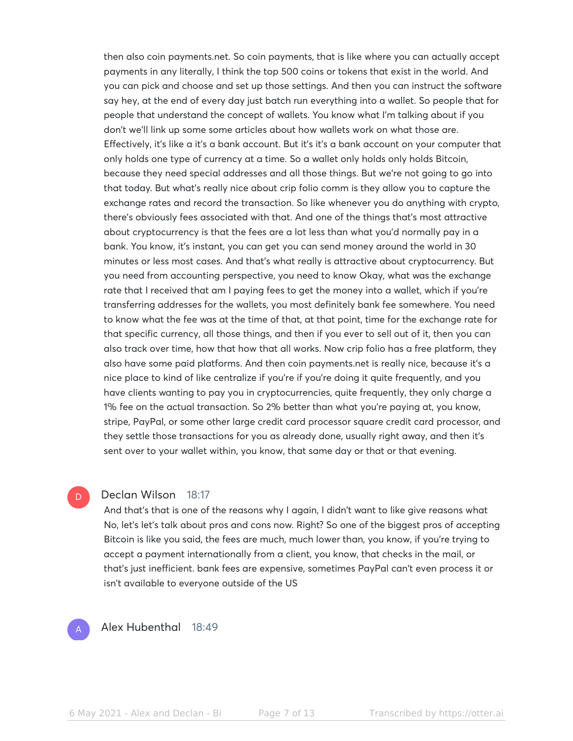then also coin payments.net. So coin payments, that is like where you can actually accept payments in any literally, I think the top 500 coins or tokens that exist in the world. And you can pick and choose and set up those settings. And then you can instruct the software say hey, at the end of every day just batch run everything into a wallet. So people that for people that understand the concept of wallets. You know what I'm talking about if you don't we'll link up some some articles about how wallets work on what those are. Effectively, it's like a it's a bank account. But it's it's a bank account on your computer that only holds one type of currency at a time. So a wallet only holds only holds Bitcoin, because they need special addresses and all those things. But we're not going to go into that today. But what's really nice about crip folio comm is they allow you to capture the exchange rates and record the transaction. So like whenever you do anything with crypto, there's obviously fees associated with that. And one of the things that's most attractive about cryptocurrency is that the fees are a lot less than what you'd normally pay in a bank. You know, it's instant, you can get you can send money around the world in 30 minutes or less most cases. And that's what really is attractive about cryptocurrency. But you need from accounting perspective, you need to know Okay, what was the exchange rate that I received that am I paying fees to get the money into a wallet, which if you're transferring addresses for the wallets, you most definitely bank fee somewhere. You need to know what the fee was at the time of that, at that point, time for the exchange rate for that specific currency, all those things, and then if you ever to sell out of it, then you can also track over time, how that how that all works. Now crip folio has a free platform, they also have some paid platforms. And then coin payments.net is really nice, because it's a nice place to kind of like centralize if you're if you're doing it quite frequently, and you have clients wanting to pay you in cryptocurrencies, quite frequently, they only charge a 1% fee on the actual transaction. So 2% better than what you're paying at, you know, stripe, PayPal, or some other large credit card processor square credit card processor, and they settle those transactions for you as already done, usually right away, and then it's sent over to your wallet within, you know, that same day or that or that evening.

#### Declan Wilson 18:17

And that's that is one of the reasons why I again, I didn't want to like give reasons what No, let's let's talk about pros and cons now. Right? So one of the biggest pros of accepting Bitcoin is like you said, the fees are much, much lower than, you know, if you're trying to accept a payment internationally from a client, you know, that checks in the mail, or that's just inefficient. bank fees are expensive, sometimes PayPal can't even process it or isn't available to everyone outside of the US

## A

D.

Alex Hubenthal 18:49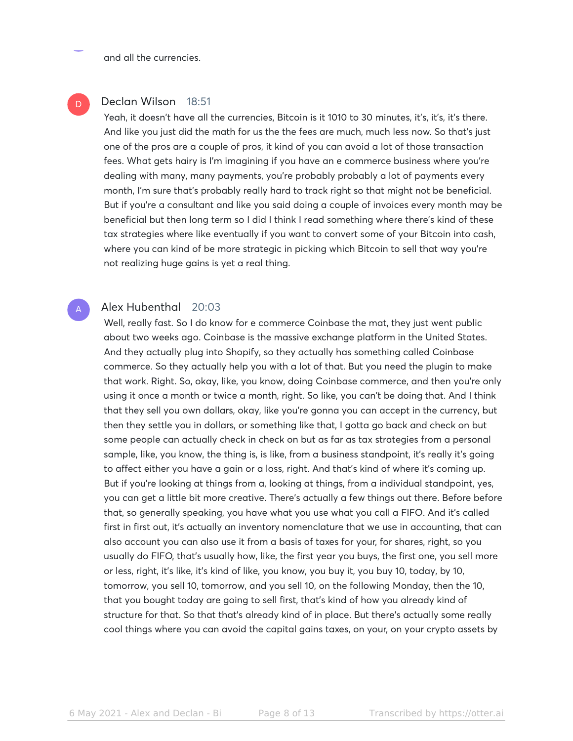and all the currencies.

## Declan Wilson 18:51

D

A

Yeah, it doesn't have all the currencies, Bitcoin is it 1010 to 30 minutes, it's, it's, it's there. And like you just did the math for us the the fees are much, much less now. So that's just one of the pros are a couple of pros, it kind of you can avoid a lot of those transaction fees. What gets hairy is I'm imagining if you have an e commerce business where you're dealing with many, many payments, you're probably probably a lot of payments every month, I'm sure that's probably really hard to track right so that might not be beneficial. But if you're a consultant and like you said doing a couple of invoices every month may be beneficial but then long term so I did I think I read something where there's kind of these tax strategies where like eventually if you want to convert some of your Bitcoin into cash, where you can kind of be more strategic in picking which Bitcoin to sell that way you're not realizing huge gains is yet a real thing.

#### Alex Hubenthal 20:03

Well, really fast. So I do know for e commerce Coinbase the mat, they just went public about two weeks ago. Coinbase is the massive exchange platform in the United States. And they actually plug into Shopify, so they actually has something called Coinbase commerce. So they actually help you with a lot of that. But you need the plugin to make that work. Right. So, okay, like, you know, doing Coinbase commerce, and then you're only using it once a month or twice a month, right. So like, you can't be doing that. And I think that they sell you own dollars, okay, like you're gonna you can accept in the currency, but then they settle you in dollars, or something like that, I gotta go back and check on but some people can actually check in check on but as far as tax strategies from a personal sample, like, you know, the thing is, is like, from a business standpoint, it's really it's going to affect either you have a gain or a loss, right. And that's kind of where it's coming up. But if you're looking at things from a, looking at things, from a individual standpoint, yes, you can get a little bit more creative. There's actually a few things out there. Before before that, so generally speaking, you have what you use what you call a FIFO. And it's called first in first out, it's actually an inventory nomenclature that we use in accounting, that can also account you can also use it from a basis of taxes for your, for shares, right, so you usually do FIFO, that's usually how, like, the first year you buys, the first one, you sell more or less, right, it's like, it's kind of like, you know, you buy it, you buy 10, today, by 10, tomorrow, you sell 10, tomorrow, and you sell 10, on the following Monday, then the 10, that you bought today are going to sell first, that's kind of how you already kind of structure for that. So that that's already kind of in place. But there's actually some really cool things where you can avoid the capital gains taxes, on your, on your crypto assets by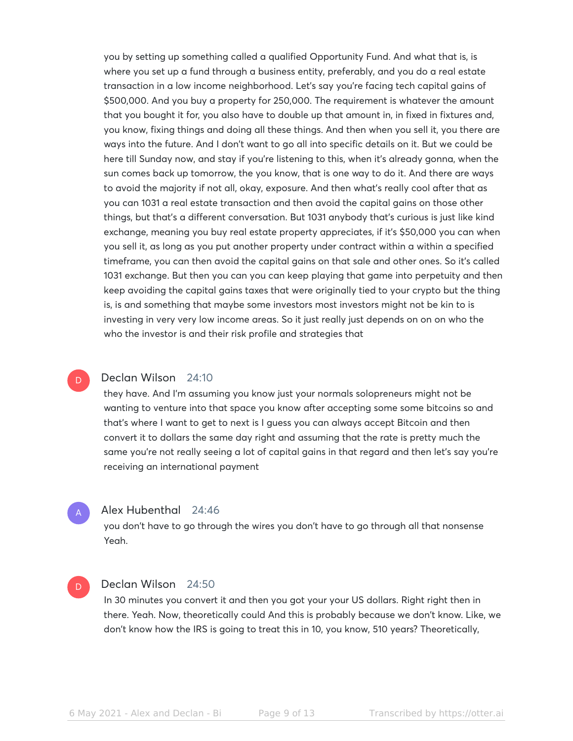you by setting up something called a qualified Opportunity Fund. And what that is, is where you set up a fund through a business entity, preferably, and you do a real estate transaction in a low income neighborhood. Let's say you're facing tech capital gains of \$500,000. And you buy a property for 250,000. The requirement is whatever the amount that you bought it for, you also have to double up that amount in, in fixed in fixtures and, you know, fixing things and doing all these things. And then when you sell it, you there are ways into the future. And I don't want to go all into specific details on it. But we could be here till Sunday now, and stay if you're listening to this, when it's already gonna, when the sun comes back up tomorrow, the you know, that is one way to do it. And there are ways to avoid the majority if not all, okay, exposure. And then what's really cool after that as you can 1031 a real estate transaction and then avoid the capital gains on those other things, but that's a different conversation. But 1031 anybody that's curious is just like kind exchange, meaning you buy real estate property appreciates, if it's \$50,000 you can when you sell it, as long as you put another property under contract within a within a specified timeframe, you can then avoid the capital gains on that sale and other ones. So it's called 1031 exchange. But then you can you can keep playing that game into perpetuity and then keep avoiding the capital gains taxes that were originally tied to your crypto but the thing is, is and something that maybe some investors most investors might not be kin to is investing in very very low income areas. So it just really just depends on on on who the who the investor is and their risk profile and strategies that

#### Declan Wilson 24:10  $\overline{\mathsf{D}}$

they have. And I'm assuming you know just your normals solopreneurs might not be wanting to venture into that space you know after accepting some some bitcoins so and that's where I want to get to next is I guess you can always accept Bitcoin and then convert it to dollars the same day right and assuming that the rate is pretty much the same you're not really seeing a lot of capital gains in that regard and then let's say you're receiving an international payment

#### Alex Hubenthal 24:46

A

D

you don't have to go through the wires you don't have to go through all that nonsense Yeah.

#### Declan Wilson 24:50

In 30 minutes you convert it and then you got your your US dollars. Right right then in there. Yeah. Now, theoretically could And this is probably because we don't know. Like, we don't know how the IRS is going to treat this in 10, you know, 510 years? Theoretically,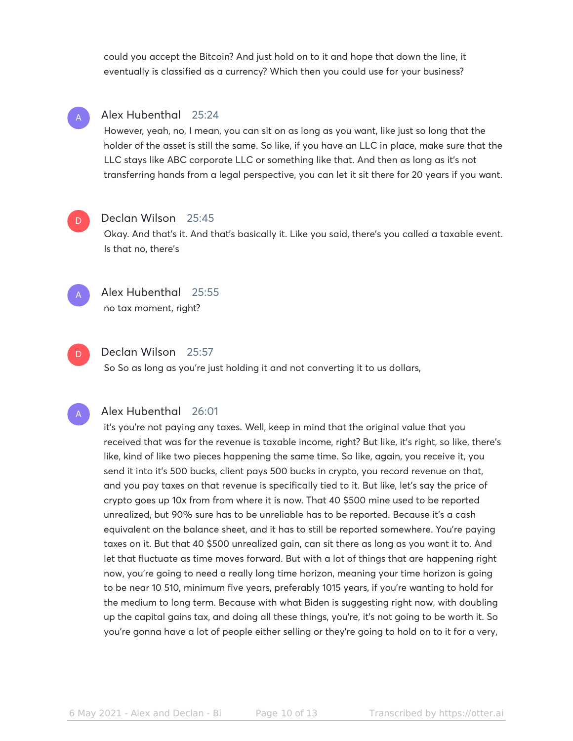could you accept the Bitcoin? And just hold on to it and hope that down the line, it eventually is classified as a currency? Which then you could use for your business?

## Alex Hubenthal 25:24

However, yeah, no, I mean, you can sit on as long as you want, like just so long that the holder of the asset is still the same. So like, if you have an LLC in place, make sure that the LLC stays like ABC corporate LLC or something like that. And then as long as it's not transferring hands from a legal perspective, you can let it sit there for 20 years if you want.



A

#### Declan Wilson 25:45

Okay. And that's it. And that's basically it. Like you said, there's you called a taxable event. Is that no, there's



Alex Hubenthal 25:55 no tax moment, right?



#### Declan Wilson 25:57

So So as long as you're just holding it and not converting it to us dollars,

A

#### Alex Hubenthal 26:01

it's you're not paying any taxes. Well, keep in mind that the original value that you received that was for the revenue is taxable income, right? But like, it's right, so like, there's like, kind of like two pieces happening the same time. So like, again, you receive it, you send it into it's 500 bucks, client pays 500 bucks in crypto, you record revenue on that, and you pay taxes on that revenue is specifically tied to it. But like, let's say the price of crypto goes up 10x from from where it is now. That 40 \$500 mine used to be reported unrealized, but 90% sure has to be unreliable has to be reported. Because it's a cash equivalent on the balance sheet, and it has to still be reported somewhere. You're paying taxes on it. But that 40 \$500 unrealized gain, can sit there as long as you want it to. And let that fluctuate as time moves forward. But with a lot of things that are happening right now, you're going to need a really long time horizon, meaning your time horizon is going to be near 10 510, minimum five years, preferably 1015 years, if you're wanting to hold for the medium to long term. Because with what Biden is suggesting right now, with doubling up the capital gains tax, and doing all these things, you're, it's not going to be worth it. So you're gonna have a lot of people either selling or they're going to hold on to it for a very,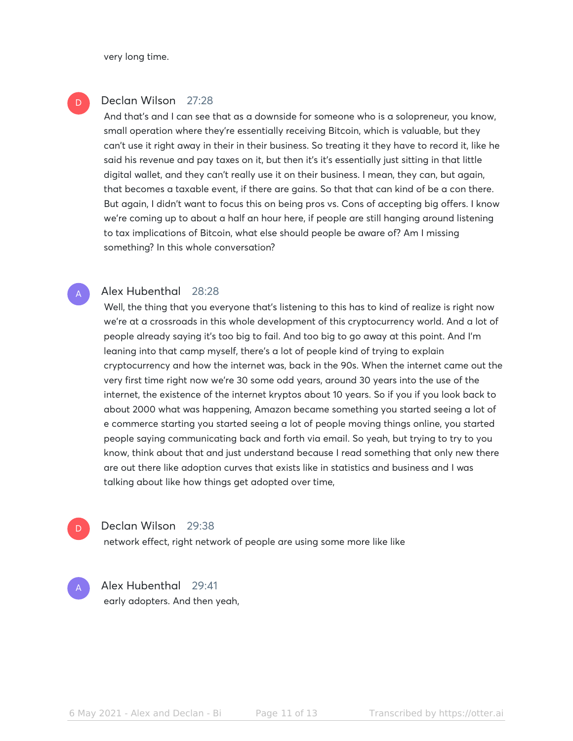very long time.

D

A

D

A

## Declan Wilson 27:28

And that's and I can see that as a downside for someone who is a solopreneur, you know, small operation where they're essentially receiving Bitcoin, which is valuable, but they can't use it right away in their in their business. So treating it they have to record it, like he said his revenue and pay taxes on it, but then it's it's essentially just sitting in that little digital wallet, and they can't really use it on their business. I mean, they can, but again, that becomes a taxable event, if there are gains. So that that can kind of be a con there. But again, I didn't want to focus this on being pros vs. Cons of accepting big offers. I know we're coming up to about a half an hour here, if people are still hanging around listening to tax implications of Bitcoin, what else should people be aware of? Am I missing something? In this whole conversation?

#### Alex Hubenthal 28:28

Well, the thing that you everyone that's listening to this has to kind of realize is right now we're at a crossroads in this whole development of this cryptocurrency world. And a lot of people already saying it's too big to fail. And too big to go away at this point. And I'm leaning into that camp myself, there's a lot of people kind of trying to explain cryptocurrency and how the internet was, back in the 90s. When the internet came out the very first time right now we're 30 some odd years, around 30 years into the use of the internet, the existence of the internet kryptos about 10 years. So if you if you look back to about 2000 what was happening, Amazon became something you started seeing a lot of e commerce starting you started seeing a lot of people moving things online, you started people saying communicating back and forth via email. So yeah, but trying to try to you know, think about that and just understand because I read something that only new there are out there like adoption curves that exists like in statistics and business and I was talking about like how things get adopted over time,

#### Declan Wilson 29:38

network effect, right network of people are using some more like like

Alex Hubenthal 29:41 early adopters. And then yeah,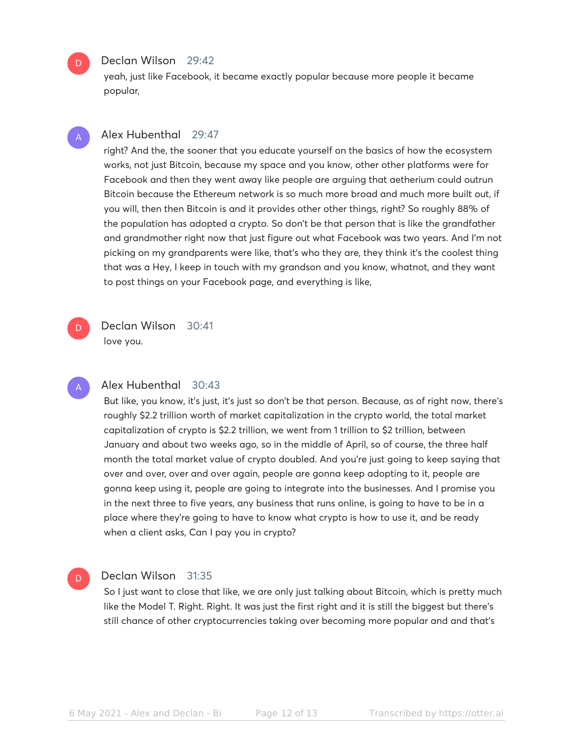#### Declan Wilson 29:42

D

D.

A

yeah, just like Facebook, it became exactly popular because more people it became popular,

#### Alex Hubenthal 29:47 A

right? And the, the sooner that you educate yourself on the basics of how the ecosystem works, not just Bitcoin, because my space and you know, other other platforms were for Facebook and then they went away like people are arguing that aetherium could outrun Bitcoin because the Ethereum network is so much more broad and much more built out, if you will, then then Bitcoin is and it provides other other things, right? So roughly 88% of the population has adopted a crypto. So don't be that person that is like the grandfather and grandmother right now that just figure out what Facebook was two years. And I'm not picking on my grandparents were like, that's who they are, they think it's the coolest thing that was a Hey, I keep in touch with my grandson and you know, whatnot, and they want to post things on your Facebook page, and everything is like,

Declan Wilson 30:41 love you.

#### Alex Hubenthal 30:43

But like, you know, it's just, it's just so don't be that person. Because, as of right now, there's roughly \$2.2 trillion worth of market capitalization in the crypto world, the total market capitalization of crypto is \$2.2 trillion, we went from 1 trillion to \$2 trillion, between January and about two weeks ago, so in the middle of April, so of course, the three half month the total market value of crypto doubled. And you're just going to keep saying that over and over, over and over again, people are gonna keep adopting to it, people are gonna keep using it, people are going to integrate into the businesses. And I promise you in the next three to five years, any business that runs online, is going to have to be in a place where they're going to have to know what crypto is how to use it, and be ready when a client asks, Can I pay you in crypto?

#### Declan Wilson 31:35 D

So I just want to close that like, we are only just talking about Bitcoin, which is pretty much like the Model T. Right. Right. It was just the first right and it is still the biggest but there's still chance of other cryptocurrencies taking over becoming more popular and and that's